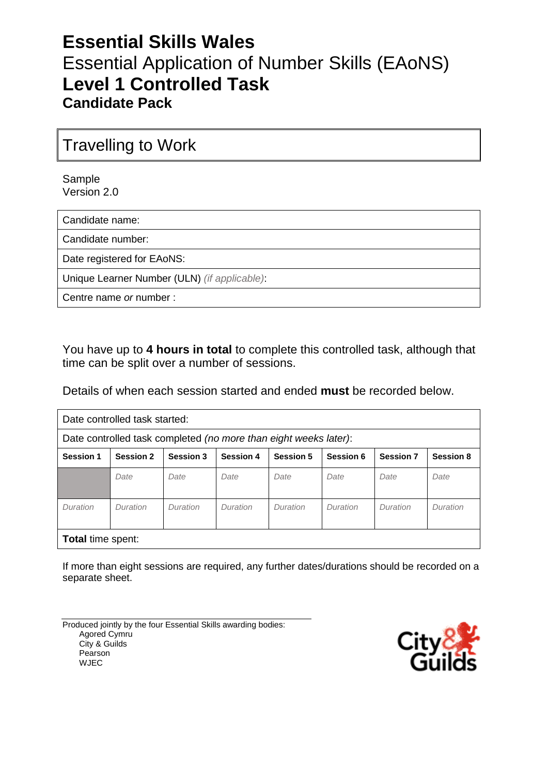# **Essential Skills Wales** Essential Application of Number Skills (EAoNS) **Level 1 Controlled Task Candidate Pack**

# Travelling to Work

Sample Version 2.0

Candidate name:

Candidate number:

Date registered for EAoNS:

Unique Learner Number (ULN) *(if applicable)*:

Centre name *or* number :

You have up to **4 hours in total** to complete this controlled task, although that time can be split over a number of sessions.

Details of when each session started and ended **must** be recorded below.

| Date controlled task started:                                    |                  |                  |                  |                  |           |                  |                  |  |  |
|------------------------------------------------------------------|------------------|------------------|------------------|------------------|-----------|------------------|------------------|--|--|
| Date controlled task completed (no more than eight weeks later): |                  |                  |                  |                  |           |                  |                  |  |  |
| <b>Session 1</b>                                                 | <b>Session 2</b> | <b>Session 3</b> | <b>Session 4</b> | <b>Session 5</b> | Session 6 | <b>Session 7</b> | <b>Session 8</b> |  |  |
|                                                                  | Date             | Date             | Date             | Date             | Date      | Date             | Date             |  |  |
| Duration                                                         | Duration         | Duration         | Duration         | Duration         | Duration  | Duration         | Duration         |  |  |
| <b>Total time spent:</b>                                         |                  |                  |                  |                  |           |                  |                  |  |  |

If more than eight sessions are required, any further dates/durations should be recorded on a separate sheet.

Produced jointly by the four Essential Skills awarding bodies: Agored Cymru City & Guilds Pearson WJEC

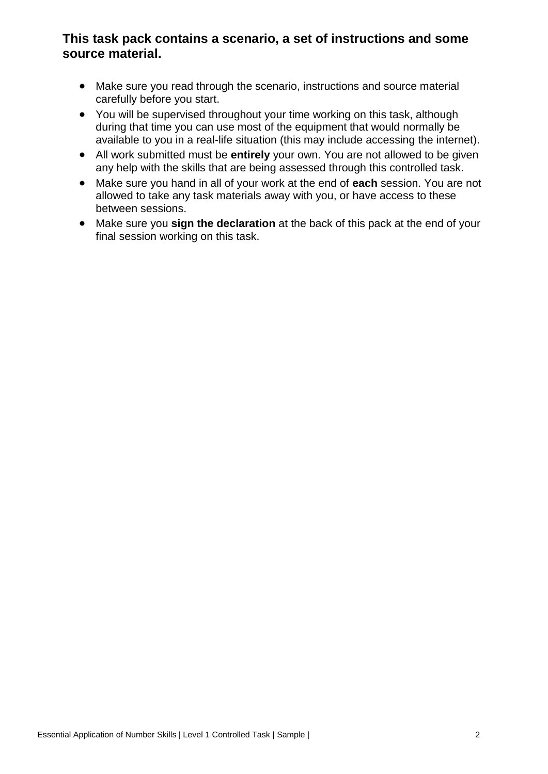## **This task pack contains a scenario, a set of instructions and some source material.**

- Make sure you read through the scenario, instructions and source material carefully before you start.
- You will be supervised throughout your time working on this task, although during that time you can use most of the equipment that would normally be available to you in a real-life situation (this may include accessing the internet).
- All work submitted must be **entirely** your own. You are not allowed to be given any help with the skills that are being assessed through this controlled task.
- Make sure you hand in all of your work at the end of **each** session. You are not allowed to take any task materials away with you, or have access to these between sessions.
- Make sure you **sign the declaration** at the back of this pack at the end of your final session working on this task.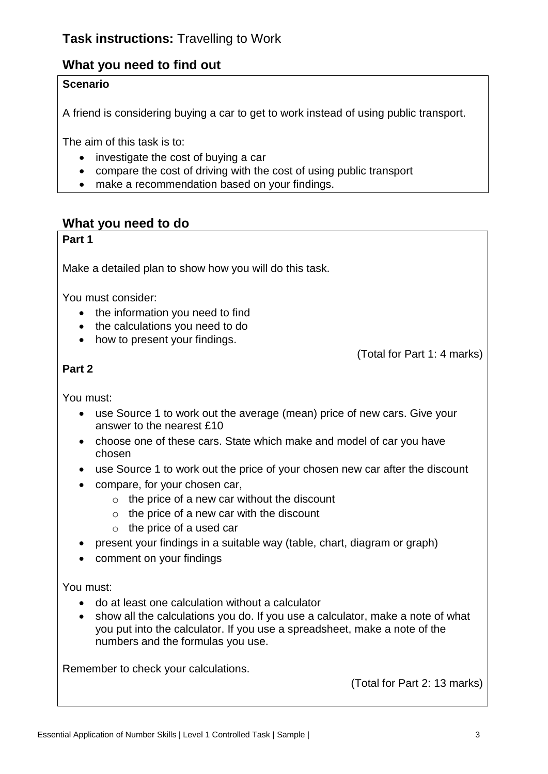## **What you need to find out**

### **Scenario**

A friend is considering buying a car to get to work instead of using public transport.

The aim of this task is to:

- investigate the cost of buying a car
- compare the cost of driving with the cost of using public transport
- make a recommendation based on your findings.

### **What you need to do**

#### **Part 1**

Make a detailed plan to show how you will do this task.

You must consider:

- the information you need to find
- the calculations you need to do
- how to present your findings.

(Total for Part 1: 4 marks)

### **Part 2**

You must:

- use Source 1 to work out the average (mean) price of new cars. Give your answer to the nearest £10
- choose one of these cars. State which make and model of car you have chosen
- use Source 1 to work out the price of your chosen new car after the discount
- compare, for your chosen car,
	- $\circ$  the price of a new car without the discount
	- $\circ$  the price of a new car with the discount
	- $\circ$  the price of a used car
- present your findings in a suitable way (table, chart, diagram or graph)
- comment on your findings

You must:

- do at least one calculation without a calculator
- show all the calculations you do. If you use a calculator, make a note of what you put into the calculator. If you use a spreadsheet, make a note of the numbers and the formulas you use.

Remember to check your calculations.

(Total for Part 2: 13 marks)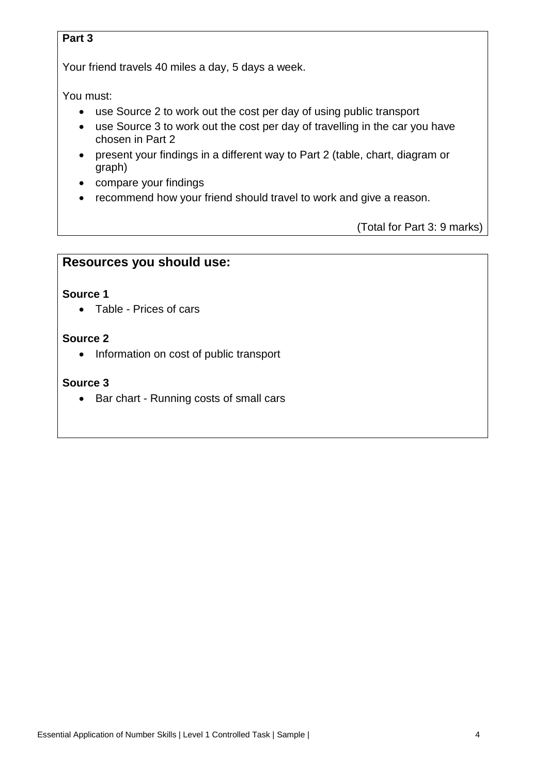#### **Part 3**

Your friend travels 40 miles a day, 5 days a week.

You must:

- use Source 2 to work out the cost per day of using public transport
- use Source 3 to work out the cost per day of travelling in the car you have chosen in Part 2
- present your findings in a different way to Part 2 (table, chart, diagram or graph)
- compare your findings
- recommend how your friend should travel to work and give a reason.

(Total for Part 3: 9 marks)

### **Resources you should use:**

#### **Source 1**

Table - Prices of cars

#### **Source 2**

• Information on cost of public transport

#### **Source 3**

• Bar chart - Running costs of small cars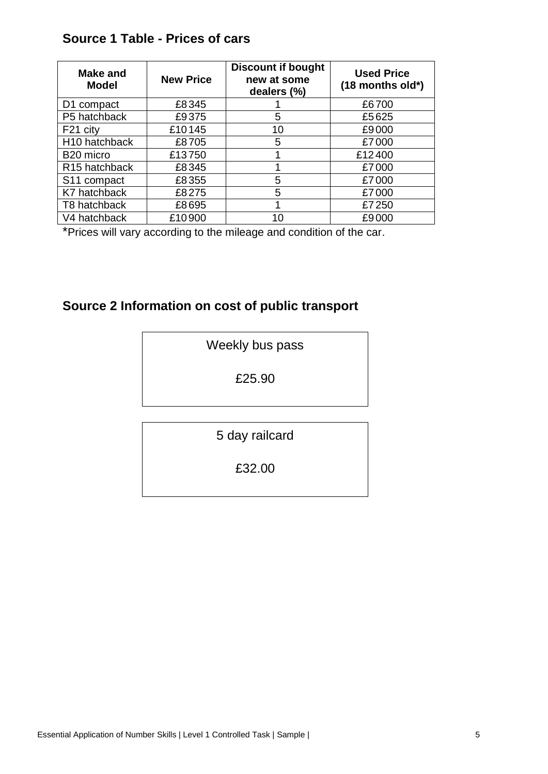## **Source 1 Table - Prices of cars**

| <b>Make and</b><br>Model  | <b>New Price</b> | <b>Discount if bought</b><br>new at some<br>dealers (%) | <b>Used Price</b><br>$(18$ months old*) |
|---------------------------|------------------|---------------------------------------------------------|-----------------------------------------|
| D1 compact                | £8345            |                                                         | £6700                                   |
| P5 hatchback              | £9375            | 5                                                       | £5625                                   |
| F21 city                  | £10145           | 10                                                      | £9000                                   |
| H <sub>10</sub> hatchback | £8705            | 5                                                       | £7000                                   |
| B <sub>20</sub> micro     | £13750           |                                                         | £12400                                  |
| R <sub>15</sub> hatchback | £8345            |                                                         | £7000                                   |
| S <sub>11</sub> compact   | £8355            | 5                                                       | £7000                                   |
| K7 hatchback              | £8275            | 5                                                       | £7000                                   |
| T8 hatchback              | £8695            |                                                         | £7250                                   |
| V4 hatchback              | £10900           | 10                                                      | £9000                                   |

\*Prices will vary according to the mileage and condition of the car.

## **Source 2 Information on cost of public transport**

£25.90

5 day railcard

£32.00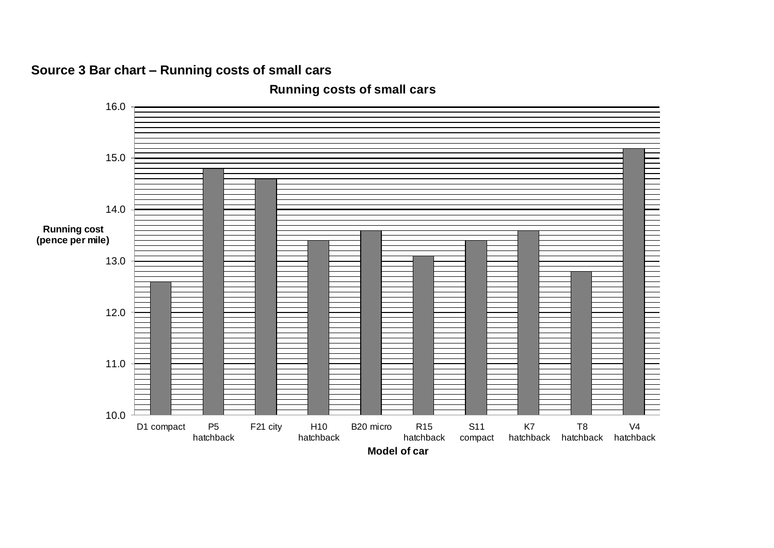# **Source 3 Bar chart – Running costs of small cars**



**Running costs of small cars**